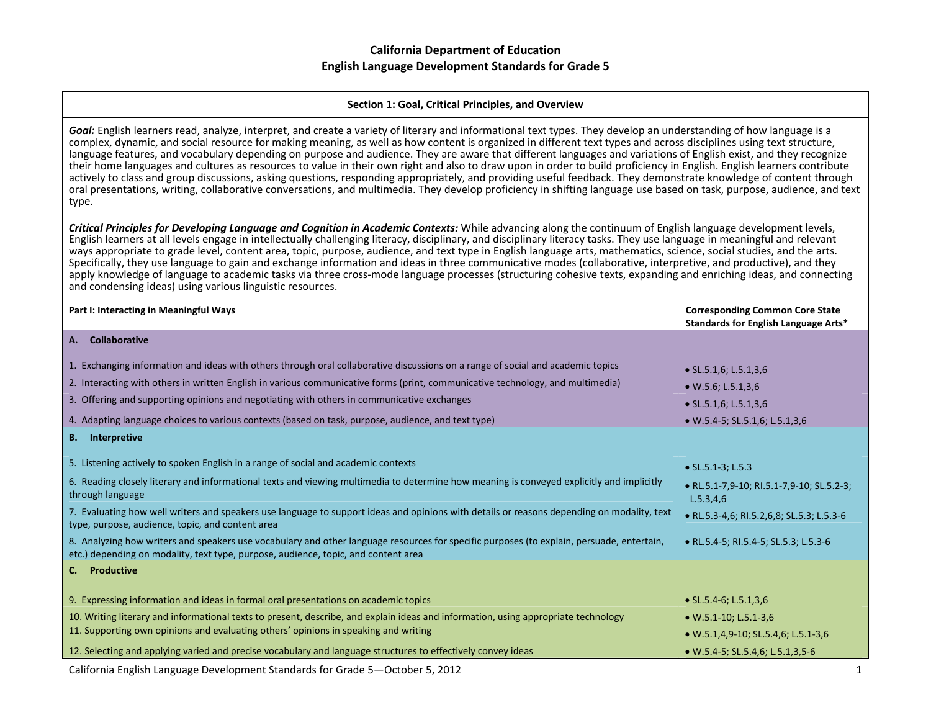#### **Section 1: Goal, Critical Principles, and Overview**

*Goal:* English learners read, analyze, interpret, and create <sup>a</sup> variety of literary and informational text types. They develop an understanding of how language is <sup>a</sup> complex, dynamic, and social resource for making meaning, as well as how content is organized in different text types and across disciplines using text structure, language features, and vocabulary depending on purpose and audience. They are aware that different languages and variations of English exist, and they recognize their home languages and cultures as resources to value in their own right and also to draw upon in order to build proficiency in English. English learners contribute actively to class and group discussions, asking questions, responding appropriately, and providing useful feedback. They demonstrate knowledge of content through oral presentations, writing, collaborative conversations, and multimedia. They develop proficiency in shifting language use based on task, purpose, audience, and text type.

Critical Principles for Developing Language and Cognition in Academic Contexts: While advancing along the continuum of English language development levels, English learners at all levels engage in intellectually challenging literacy, disciplinary, and disciplinary literacy tasks. They use language in meaningful and relevant ways appropriate to grade level, content area, topic, purpose, audience, and text type in English language arts, mathematics, science, social studies, and the arts. Specifically, they use language to gain and exchange information and ideas in three communicative modes (collaborative, interpretive, and productive), and they apply knowledge of language to academic tasks via three cross-mode language processes (structuring cohesive texts, expanding and enriching ideas, and connecting and condensing ideas) using various linguistic resources.

| Part I: Interacting in Meaningful Ways                                                                                                                                                                                          | <b>Corresponding Common Core State</b><br>Standards for English Language Arts* |
|---------------------------------------------------------------------------------------------------------------------------------------------------------------------------------------------------------------------------------|--------------------------------------------------------------------------------|
| Collaborative<br>А.                                                                                                                                                                                                             |                                                                                |
| 1. Exchanging information and ideas with others through oral collaborative discussions on a range of social and academic topics                                                                                                 | $\bullet$ SL.5.1,6; L.5.1,3,6                                                  |
| 2. Interacting with others in written English in various communicative forms (print, communicative technology, and multimedia)                                                                                                  | $\bullet$ W.5.6; L.5.1,3,6                                                     |
| 3. Offering and supporting opinions and negotiating with others in communicative exchanges                                                                                                                                      | $\bullet$ SL.5.1,6; L.5.1,3,6                                                  |
| 4. Adapting language choices to various contexts (based on task, purpose, audience, and text type)                                                                                                                              | $\bullet$ W.5.4-5; SL.5.1,6; L.5.1,3,6                                         |
| Interpretive<br>В.                                                                                                                                                                                                              |                                                                                |
| 5. Listening actively to spoken English in a range of social and academic contexts                                                                                                                                              | $\bullet$ SL.5.1-3; L.5.3                                                      |
| 6. Reading closely literary and informational texts and viewing multimedia to determine how meaning is conveyed explicitly and implicitly<br>through language                                                                   | • RL.5.1-7,9-10; RI.5.1-7,9-10; SL.5.2-3;<br>L.5.3,4,6                         |
| 7. Evaluating how well writers and speakers use language to support ideas and opinions with details or reasons depending on modality, text<br>type, purpose, audience, topic, and content area                                  | • RL.5.3-4,6; RI.5.2,6,8; SL.5.3; L.5.3-6                                      |
| 8. Analyzing how writers and speakers use vocabulary and other language resources for specific purposes (to explain, persuade, entertain,<br>etc.) depending on modality, text type, purpose, audience, topic, and content area | • RL.5.4-5; RI.5.4-5; SL.5.3; L.5.3-6                                          |
| <b>Productive</b><br>$C_{n}$                                                                                                                                                                                                    |                                                                                |
| 9. Expressing information and ideas in formal oral presentations on academic topics                                                                                                                                             | $\bullet$ SL.5.4-6; L.5.1,3,6                                                  |
| 10. Writing literary and informational texts to present, describe, and explain ideas and information, using appropriate technology                                                                                              | $\bullet$ W.5.1-10; L.5.1-3,6                                                  |
| 11. Supporting own opinions and evaluating others' opinions in speaking and writing                                                                                                                                             | • W.5.1,4,9-10; SL.5.4,6; L.5.1-3,6                                            |
| 12. Selecting and applying varied and precise vocabulary and language structures to effectively convey ideas                                                                                                                    | $\bullet$ W.5.4-5; SL.5.4,6; L.5.1,3,5-6                                       |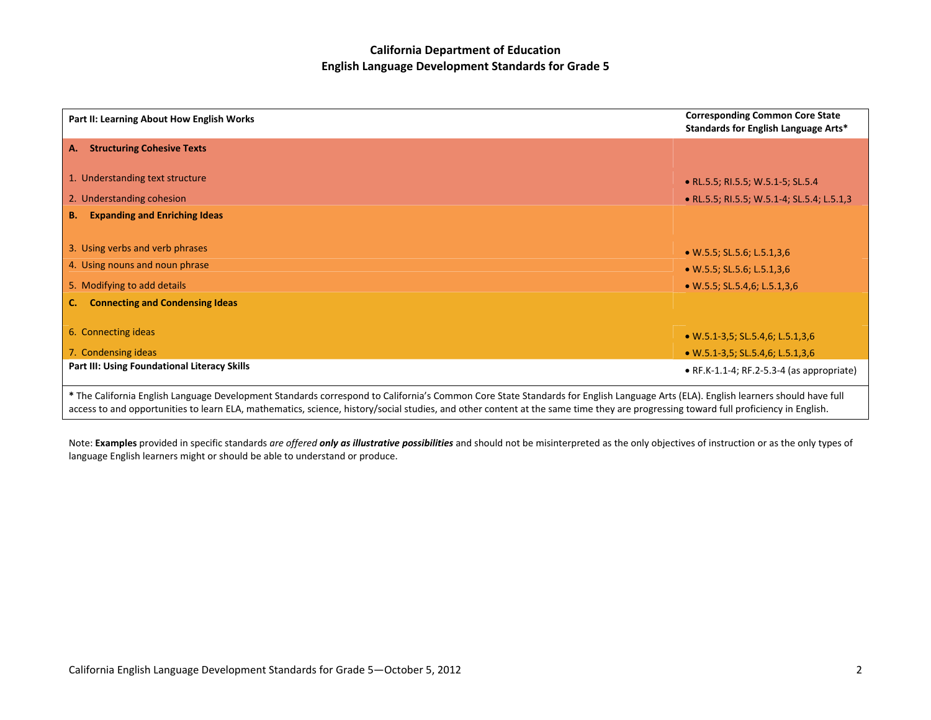| Part II: Learning About How English Works                                                                                                                                                                                                                                                                                                                                | <b>Corresponding Common Core State</b><br>Standards for English Language Arts* |
|--------------------------------------------------------------------------------------------------------------------------------------------------------------------------------------------------------------------------------------------------------------------------------------------------------------------------------------------------------------------------|--------------------------------------------------------------------------------|
| <b>Structuring Cohesive Texts</b><br>А.                                                                                                                                                                                                                                                                                                                                  |                                                                                |
| 1. Understanding text structure                                                                                                                                                                                                                                                                                                                                          | • RL.5.5; RI.5.5; W.5.1-5; SL.5.4                                              |
| 2. Understanding cohesion                                                                                                                                                                                                                                                                                                                                                | • RL.5.5; RI.5.5; W.5.1-4; SL.5.4; L.5.1,3                                     |
| <b>Expanding and Enriching Ideas</b><br><b>B.</b>                                                                                                                                                                                                                                                                                                                        |                                                                                |
| 3. Using verbs and verb phrases                                                                                                                                                                                                                                                                                                                                          | $\bullet$ W.5.5; SL.5.6; L.5.1,3,6                                             |
| 4. Using nouns and noun phrase                                                                                                                                                                                                                                                                                                                                           | $\bullet$ W.5.5; SL.5.6; L.5.1,3,6                                             |
| 5. Modifying to add details                                                                                                                                                                                                                                                                                                                                              | $\bullet$ W.5.5; SL.5.4,6; L.5.1,3,6                                           |
| <b>Connecting and Condensing Ideas</b>                                                                                                                                                                                                                                                                                                                                   |                                                                                |
| 6. Connecting ideas                                                                                                                                                                                                                                                                                                                                                      | $\bullet$ W.5.1-3,5; SL.5.4,6; L.5.1,3,6                                       |
| 7. Condensing ideas                                                                                                                                                                                                                                                                                                                                                      | • W.5.1-3,5; SL.5.4,6; L.5.1,3,6                                               |
| Part III: Using Foundational Literacy Skills                                                                                                                                                                                                                                                                                                                             | $\bullet$ RF.K-1.1-4; RF.2-5.3-4 (as appropriate)                              |
| * The California English Language Development Standards correspond to California's Common Core State Standards for English Language Arts (ELA). English learners should have full<br>access to and opportunities to learn ELA, mathematics, science, history/social studies, and other content at the same time they are progressing toward full proficiency in English. |                                                                                |

Note: **Examples** provided in specific standards are offered **only as illustrative possibilities** and should not be misinterpreted as the only objectives of instruction or as the only types of language English learners might or should be able to understand or produce.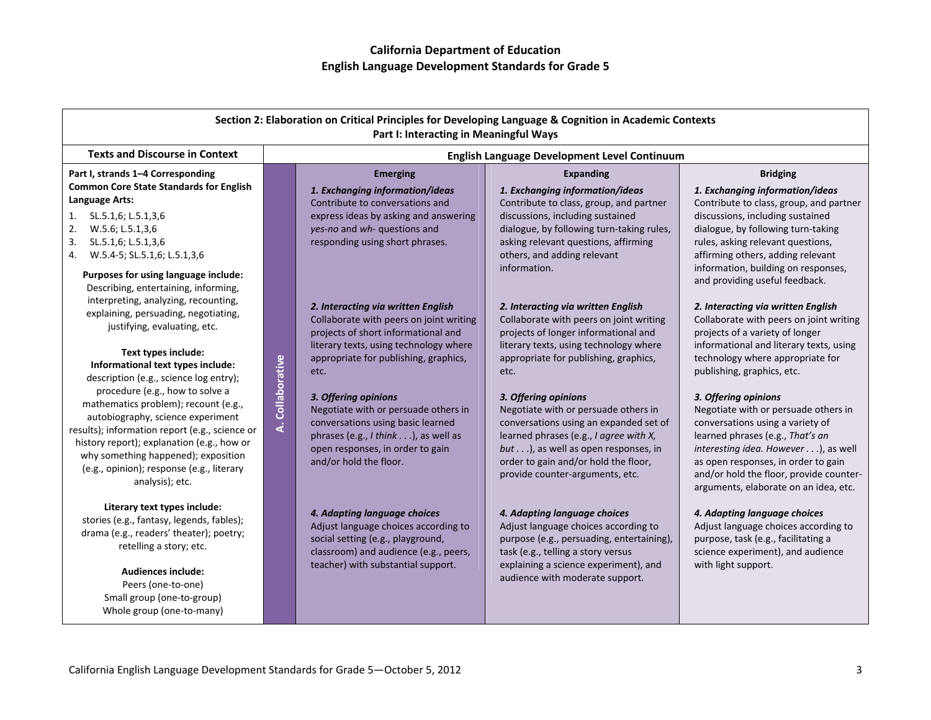| Section 2: Elaboration on Critical Principles for Developing Language & Cognition in Academic Contexts<br>Part I: Interacting in Meaningful Ways                                                                                                                                                                                                                                                                                                                                                                                                                                                                          |                  |                                                                                                                                                                                                                                                                                                                                                                                                                                       |                                                                                                                                                                                                                                                                                                                                                                                                                                                                                                        |                                                                                                                                                                                                                                                                                                                                                                                                                                                                                                                                                                                                                  |
|---------------------------------------------------------------------------------------------------------------------------------------------------------------------------------------------------------------------------------------------------------------------------------------------------------------------------------------------------------------------------------------------------------------------------------------------------------------------------------------------------------------------------------------------------------------------------------------------------------------------------|------------------|---------------------------------------------------------------------------------------------------------------------------------------------------------------------------------------------------------------------------------------------------------------------------------------------------------------------------------------------------------------------------------------------------------------------------------------|--------------------------------------------------------------------------------------------------------------------------------------------------------------------------------------------------------------------------------------------------------------------------------------------------------------------------------------------------------------------------------------------------------------------------------------------------------------------------------------------------------|------------------------------------------------------------------------------------------------------------------------------------------------------------------------------------------------------------------------------------------------------------------------------------------------------------------------------------------------------------------------------------------------------------------------------------------------------------------------------------------------------------------------------------------------------------------------------------------------------------------|
| <b>Texts and Discourse in Context</b>                                                                                                                                                                                                                                                                                                                                                                                                                                                                                                                                                                                     |                  | English Language Development Level Continuum                                                                                                                                                                                                                                                                                                                                                                                          |                                                                                                                                                                                                                                                                                                                                                                                                                                                                                                        |                                                                                                                                                                                                                                                                                                                                                                                                                                                                                                                                                                                                                  |
| Part I, strands 1-4 Corresponding<br><b>Common Core State Standards for English</b><br>Language Arts:<br>1. $SL.5.1,6$ ; $L.5.1,3,6$<br>2.<br>W.5.6; L.5.1,3,6<br>3.<br>SL.5.1,6; L.5.1,3,6<br>4. W.5.4-5; SL.5.1,6; L.5.1,3,6                                                                                                                                                                                                                                                                                                                                                                                            |                  | <b>Emerging</b><br>1. Exchanging information/ideas<br>Contribute to conversations and<br>express ideas by asking and answering<br>yes-no and wh- questions and<br>responding using short phrases.                                                                                                                                                                                                                                     | <b>Expanding</b><br>1. Exchanging information/ideas<br>Contribute to class, group, and partner<br>discussions, including sustained<br>dialogue, by following turn-taking rules,<br>asking relevant questions, affirming<br>others, and adding relevant                                                                                                                                                                                                                                                 | <b>Bridging</b><br>1. Exchanging information/ideas<br>Contribute to class, group, and partner<br>discussions, including sustained<br>dialogue, by following turn-taking<br>rules, asking relevant questions,<br>affirming others, adding relevant                                                                                                                                                                                                                                                                                                                                                                |
| Purposes for using language include:<br>Describing, entertaining, informing,<br>interpreting, analyzing, recounting,<br>explaining, persuading, negotiating,<br>justifying, evaluating, etc.<br>Text types include:<br>Informational text types include:<br>description (e.g., science log entry);<br>procedure (e.g., how to solve a<br>mathematics problem); recount (e.g.,<br>autobiography, science experiment<br>results); information report (e.g., science or<br>history report); explanation (e.g., how or<br>why something happened); exposition<br>(e.g., opinion); response (e.g., literary<br>analysis); etc. | A. Collaborative | 2. Interacting via written English<br>Collaborate with peers on joint writing<br>projects of short informational and<br>literary texts, using technology where<br>appropriate for publishing, graphics,<br>etc.<br>3. Offering opinions<br>Negotiate with or persuade others in<br>conversations using basic learned<br>phrases (e.g., $I$ think $\ldots$ ), as well as<br>open responses, in order to gain<br>and/or hold the floor. | information.<br>2. Interacting via written English<br>Collaborate with peers on joint writing<br>projects of longer informational and<br>literary texts, using technology where<br>appropriate for publishing, graphics,<br>etc.<br>3. Offering opinions<br>Negotiate with or persuade others in<br>conversations using an expanded set of<br>learned phrases (e.g., I agree with X,<br>but), as well as open responses, in<br>order to gain and/or hold the floor,<br>provide counter-arguments, etc. | information, building on responses,<br>and providing useful feedback.<br>2. Interacting via written English<br>Collaborate with peers on joint writing<br>projects of a variety of longer<br>informational and literary texts, using<br>technology where appropriate for<br>publishing, graphics, etc.<br>3. Offering opinions<br>Negotiate with or persuade others in<br>conversations using a variety of<br>learned phrases (e.g., That's an<br>interesting idea. However), as well<br>as open responses, in order to gain<br>and/or hold the floor, provide counter-<br>arguments, elaborate on an idea, etc. |
| Literary text types include:<br>stories (e.g., fantasy, legends, fables);<br>drama (e.g., readers' theater); poetry;<br>retelling a story; etc.<br><b>Audiences include:</b><br>Peers (one-to-one)<br>Small group (one-to-group)<br>Whole group (one-to-many)                                                                                                                                                                                                                                                                                                                                                             |                  | 4. Adapting language choices<br>Adjust language choices according to<br>social setting (e.g., playground,<br>classroom) and audience (e.g., peers,<br>teacher) with substantial support.                                                                                                                                                                                                                                              | 4. Adapting language choices<br>Adjust language choices according to<br>purpose (e.g., persuading, entertaining),<br>task (e.g., telling a story versus<br>explaining a science experiment), and<br>audience with moderate support.                                                                                                                                                                                                                                                                    | 4. Adapting language choices<br>Adjust language choices according to<br>purpose, task (e.g., facilitating a<br>science experiment), and audience<br>with light support.                                                                                                                                                                                                                                                                                                                                                                                                                                          |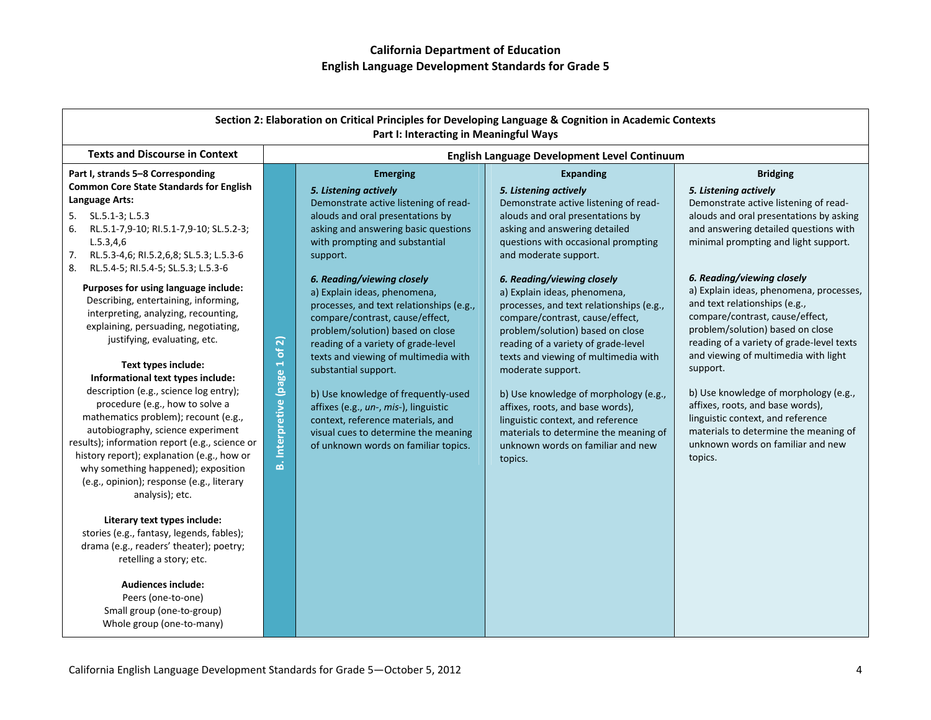| Section 2: Elaboration on Critical Principles for Developing Language & Cognition in Academic Contexts<br>Part I: Interacting in Meaningful Ways                                                                                                                                                                                                                                                                                                                                                                                                                                                                                                                                                                                                                                                                                                                                                                                                                                                                                                                                                                                                                                   |                               |                                                                                                                                                                                                                                                                                                                                                                                                                                                                                                                                                                                                                                                                                                          |                                                                                                                                                                                                                                                                                                                                                                                                                                                                                                                                                                                                                                                                                                                         |                                                                                                                                                                                                                                                                                                                                                                                                                                                                                                                                                                                                                                                                                                            |
|------------------------------------------------------------------------------------------------------------------------------------------------------------------------------------------------------------------------------------------------------------------------------------------------------------------------------------------------------------------------------------------------------------------------------------------------------------------------------------------------------------------------------------------------------------------------------------------------------------------------------------------------------------------------------------------------------------------------------------------------------------------------------------------------------------------------------------------------------------------------------------------------------------------------------------------------------------------------------------------------------------------------------------------------------------------------------------------------------------------------------------------------------------------------------------|-------------------------------|----------------------------------------------------------------------------------------------------------------------------------------------------------------------------------------------------------------------------------------------------------------------------------------------------------------------------------------------------------------------------------------------------------------------------------------------------------------------------------------------------------------------------------------------------------------------------------------------------------------------------------------------------------------------------------------------------------|-------------------------------------------------------------------------------------------------------------------------------------------------------------------------------------------------------------------------------------------------------------------------------------------------------------------------------------------------------------------------------------------------------------------------------------------------------------------------------------------------------------------------------------------------------------------------------------------------------------------------------------------------------------------------------------------------------------------------|------------------------------------------------------------------------------------------------------------------------------------------------------------------------------------------------------------------------------------------------------------------------------------------------------------------------------------------------------------------------------------------------------------------------------------------------------------------------------------------------------------------------------------------------------------------------------------------------------------------------------------------------------------------------------------------------------------|
| <b>Texts and Discourse in Context</b>                                                                                                                                                                                                                                                                                                                                                                                                                                                                                                                                                                                                                                                                                                                                                                                                                                                                                                                                                                                                                                                                                                                                              |                               |                                                                                                                                                                                                                                                                                                                                                                                                                                                                                                                                                                                                                                                                                                          | English Language Development Level Continuum                                                                                                                                                                                                                                                                                                                                                                                                                                                                                                                                                                                                                                                                            |                                                                                                                                                                                                                                                                                                                                                                                                                                                                                                                                                                                                                                                                                                            |
| Part I, strands 5-8 Corresponding<br><b>Common Core State Standards for English</b><br>Language Arts:<br>5. $SL.5.1-3$ ; L.5.3<br>RL.5.1-7,9-10; RI.5.1-7,9-10; SL.5.2-3;<br>6.<br>L.5.3,4,6<br>7. RL.5.3-4,6; RI.5.2,6,8; SL.5.3; L.5.3-6<br>8. RL.5.4-5; RI.5.4-5; SL.5.3; L.5.3-6<br>Purposes for using language include:<br>Describing, entertaining, informing,<br>interpreting, analyzing, recounting,<br>explaining, persuading, negotiating,<br>justifying, evaluating, etc.<br>Text types include:<br>Informational text types include:<br>description (e.g., science log entry);<br>procedure (e.g., how to solve a<br>mathematics problem); recount (e.g.,<br>autobiography, science experiment<br>results); information report (e.g., science or<br>history report); explanation (e.g., how or<br>why something happened); exposition<br>(e.g., opinion); response (e.g., literary<br>analysis); etc.<br>Literary text types include:<br>stories (e.g., fantasy, legends, fables);<br>drama (e.g., readers' theater); poetry;<br>retelling a story; etc.<br><b>Audiences include:</b><br>Peers (one-to-one)<br>Small group (one-to-group)<br>Whole group (one-to-many) | B. Interpretive (page 1 of 2) | <b>Emerging</b><br>5. Listening actively<br>Demonstrate active listening of read-<br>alouds and oral presentations by<br>asking and answering basic questions<br>with prompting and substantial<br>support.<br>6. Reading/viewing closely<br>a) Explain ideas, phenomena,<br>processes, and text relationships (e.g.,<br>compare/contrast, cause/effect,<br>problem/solution) based on close<br>reading of a variety of grade-level<br>texts and viewing of multimedia with<br>substantial support.<br>b) Use knowledge of frequently-used<br>affixes (e.g., un-, mis-), linguistic<br>context, reference materials, and<br>visual cues to determine the meaning<br>of unknown words on familiar topics. | <b>Expanding</b><br>5. Listening actively<br>Demonstrate active listening of read-<br>alouds and oral presentations by<br>asking and answering detailed<br>questions with occasional prompting<br>and moderate support.<br>6. Reading/viewing closely<br>a) Explain ideas, phenomena,<br>processes, and text relationships (e.g.,<br>compare/contrast, cause/effect,<br>problem/solution) based on close<br>reading of a variety of grade-level<br>texts and viewing of multimedia with<br>moderate support.<br>b) Use knowledge of morphology (e.g.,<br>affixes, roots, and base words),<br>linguistic context, and reference<br>materials to determine the meaning of<br>unknown words on familiar and new<br>topics. | <b>Bridging</b><br>5. Listening actively<br>Demonstrate active listening of read-<br>alouds and oral presentations by asking<br>and answering detailed questions with<br>minimal prompting and light support.<br>6. Reading/viewing closely<br>a) Explain ideas, phenomena, processes,<br>and text relationships (e.g.,<br>compare/contrast, cause/effect,<br>problem/solution) based on close<br>reading of a variety of grade-level texts<br>and viewing of multimedia with light<br>support.<br>b) Use knowledge of morphology (e.g.,<br>affixes, roots, and base words),<br>linguistic context, and reference<br>materials to determine the meaning of<br>unknown words on familiar and new<br>topics. |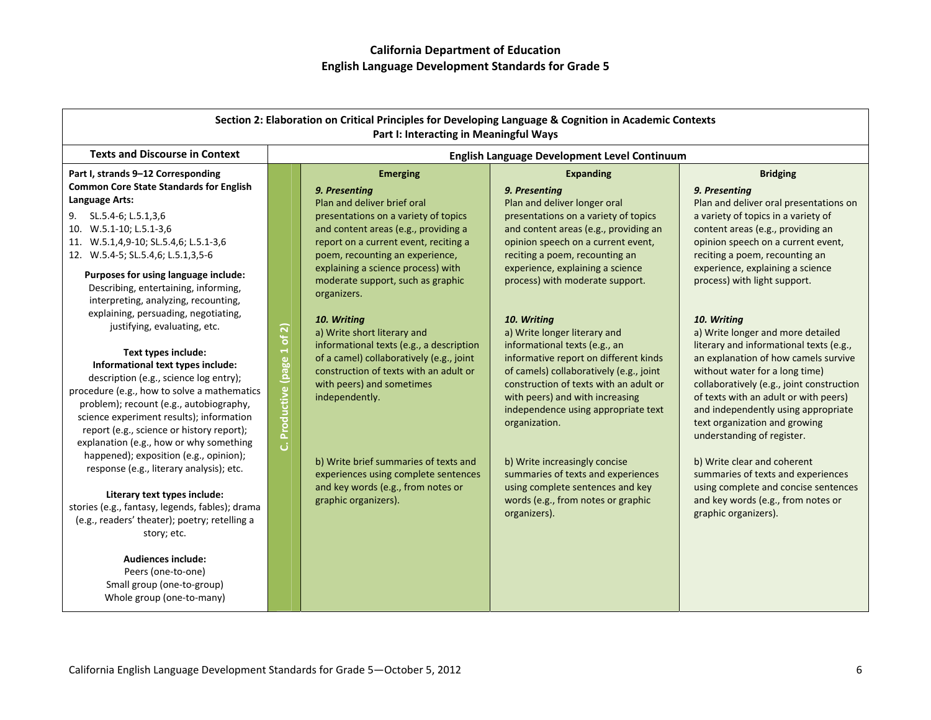| Section 2: Elaboration on Critical Principles for Developing Language & Cognition in Academic Contexts<br>Part I: Interacting in Meaningful Ways                                                                                                                                                                                 |                               |                                                                                                                                                                                                              |                                                                                                                                                                                                                                                                                        |                                                                                                                                                                                                                                                                                                                                                    |                                                                                                                                                               |                                                                                                                                                                         |
|----------------------------------------------------------------------------------------------------------------------------------------------------------------------------------------------------------------------------------------------------------------------------------------------------------------------------------|-------------------------------|--------------------------------------------------------------------------------------------------------------------------------------------------------------------------------------------------------------|----------------------------------------------------------------------------------------------------------------------------------------------------------------------------------------------------------------------------------------------------------------------------------------|----------------------------------------------------------------------------------------------------------------------------------------------------------------------------------------------------------------------------------------------------------------------------------------------------------------------------------------------------|---------------------------------------------------------------------------------------------------------------------------------------------------------------|-------------------------------------------------------------------------------------------------------------------------------------------------------------------------|
| <b>Texts and Discourse in Context</b>                                                                                                                                                                                                                                                                                            |                               |                                                                                                                                                                                                              | English Language Development Level Continuum                                                                                                                                                                                                                                           |                                                                                                                                                                                                                                                                                                                                                    |                                                                                                                                                               |                                                                                                                                                                         |
| Part I, strands 9-12 Corresponding<br><b>Common Core State Standards for English</b>                                                                                                                                                                                                                                             |                               | <b>Emerging</b>                                                                                                                                                                                              | <b>Expanding</b>                                                                                                                                                                                                                                                                       | <b>Bridging</b>                                                                                                                                                                                                                                                                                                                                    |                                                                                                                                                               |                                                                                                                                                                         |
| Language Arts:                                                                                                                                                                                                                                                                                                                   |                               | 9. Presenting<br>Plan and deliver brief oral                                                                                                                                                                 | 9. Presenting<br>Plan and deliver longer oral                                                                                                                                                                                                                                          | 9. Presenting<br>Plan and deliver oral presentations on                                                                                                                                                                                                                                                                                            |                                                                                                                                                               |                                                                                                                                                                         |
| SL.5.4-6; L.5.1,3,6<br>9.<br>10. W.5.1-10; L.5.1-3,6<br>11. W.5.1,4,9-10; SL.5.4,6; L.5.1-3,6<br>12. W.5.4-5; SL.5.4,6; L.5.1,3,5-6                                                                                                                                                                                              |                               | presentations on a variety of topics<br>and content areas (e.g., providing a<br>report on a current event, reciting a<br>poem, recounting an experience,                                                     | presentations on a variety of topics<br>and content areas (e.g., providing an<br>opinion speech on a current event,<br>reciting a poem, recounting an                                                                                                                                  | a variety of topics in a variety of<br>content areas (e.g., providing an<br>opinion speech on a current event,<br>reciting a poem, recounting an                                                                                                                                                                                                   |                                                                                                                                                               |                                                                                                                                                                         |
| Purposes for using language include:<br>Describing, entertaining, informing,<br>interpreting, analyzing, recounting,                                                                                                                                                                                                             |                               |                                                                                                                                                                                                              | explaining a science process) with<br>moderate support, such as graphic<br>organizers.                                                                                                                                                                                                 | experience, explaining a science<br>process) with moderate support.                                                                                                                                                                                                                                                                                | experience, explaining a science<br>process) with light support.                                                                                              |                                                                                                                                                                         |
| explaining, persuading, negotiating,<br>justifying, evaluating, etc.                                                                                                                                                                                                                                                             |                               | 10. Writing                                                                                                                                                                                                  | 10. Writing                                                                                                                                                                                                                                                                            | 10. Writing                                                                                                                                                                                                                                                                                                                                        |                                                                                                                                                               |                                                                                                                                                                         |
| Text types include:<br>Informational text types include:<br>description (e.g., science log entry);<br>procedure (e.g., how to solve a mathematics<br>problem); recount (e.g., autobiography,<br>science experiment results); information<br>report (e.g., science or history report);<br>explanation (e.g., how or why something | of2)<br>C. Productive (page 1 | a) Write short literary and<br>informational texts (e.g., a description<br>of a camel) collaboratively (e.g., joint<br>construction of texts with an adult or<br>with peers) and sometimes<br>independently. | a) Write longer literary and<br>informational texts (e.g., an<br>informative report on different kinds<br>of camels) collaboratively (e.g., joint<br>construction of texts with an adult or<br>with peers) and with increasing<br>independence using appropriate text<br>organization. | a) Write longer and more detailed<br>literary and informational texts (e.g.,<br>an explanation of how camels survive<br>without water for a long time)<br>collaboratively (e.g., joint construction<br>of texts with an adult or with peers)<br>and independently using appropriate<br>text organization and growing<br>understanding of register. |                                                                                                                                                               |                                                                                                                                                                         |
| happened); exposition (e.g., opinion);<br>response (e.g., literary analysis); etc.<br>Literary text types include:<br>stories (e.g., fantasy, legends, fables); drama                                                                                                                                                            |                               |                                                                                                                                                                                                              |                                                                                                                                                                                                                                                                                        | b) Write brief summaries of texts and<br>experiences using complete sentences<br>and key words (e.g., from notes or<br>graphic organizers).                                                                                                                                                                                                        | b) Write increasingly concise<br>summaries of texts and experiences<br>using complete sentences and key<br>words (e.g., from notes or graphic<br>organizers). | b) Write clear and coherent<br>summaries of texts and experiences<br>using complete and concise sentences<br>and key words (e.g., from notes or<br>graphic organizers). |
| (e.g., readers' theater); poetry; retelling a<br>story; etc.                                                                                                                                                                                                                                                                     |                               |                                                                                                                                                                                                              |                                                                                                                                                                                                                                                                                        |                                                                                                                                                                                                                                                                                                                                                    |                                                                                                                                                               |                                                                                                                                                                         |
| <b>Audiences include:</b><br>Peers (one-to-one)<br>Small group (one-to-group)<br>Whole group (one-to-many)                                                                                                                                                                                                                       |                               |                                                                                                                                                                                                              |                                                                                                                                                                                                                                                                                        |                                                                                                                                                                                                                                                                                                                                                    |                                                                                                                                                               |                                                                                                                                                                         |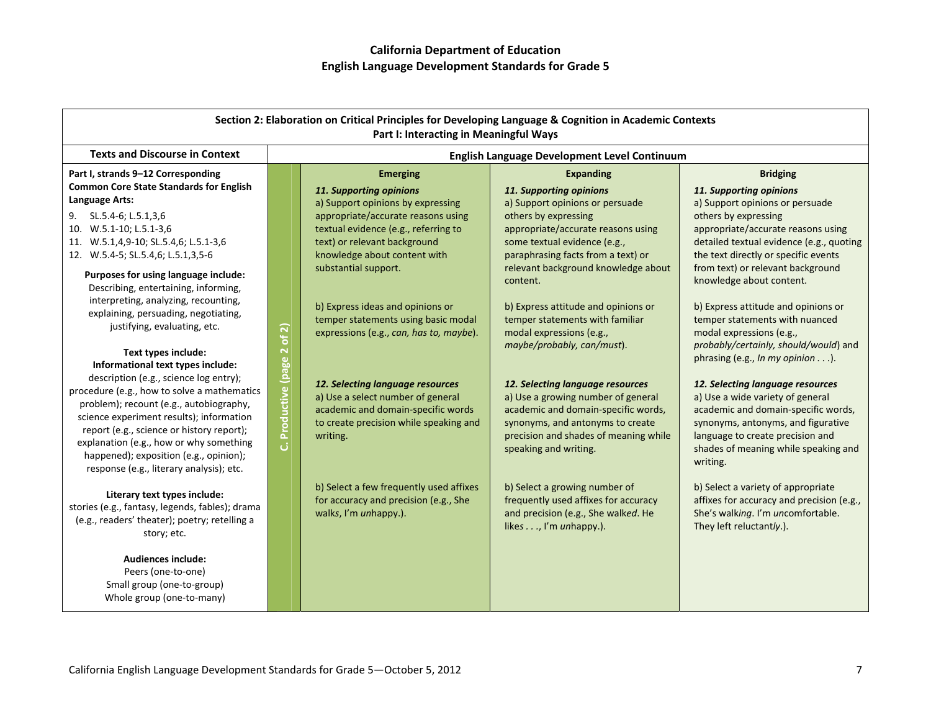| Section 2: Elaboration on Critical Principles for Developing Language & Cognition in Academic Contexts<br>Part I: Interacting in Meaningful Ways |                       |                                              |                                                 |                                                               |
|--------------------------------------------------------------------------------------------------------------------------------------------------|-----------------------|----------------------------------------------|-------------------------------------------------|---------------------------------------------------------------|
| <b>Texts and Discourse in Context</b>                                                                                                            |                       | English Language Development Level Continuum |                                                 |                                                               |
| Part I, strands 9-12 Corresponding                                                                                                               |                       | <b>Emerging</b>                              | <b>Expanding</b>                                | <b>Bridging</b>                                               |
| <b>Common Core State Standards for English</b>                                                                                                   |                       | 11. Supporting opinions                      | <b>11. Supporting opinions</b>                  | 11. Supporting opinions                                       |
| Language Arts:                                                                                                                                   |                       | a) Support opinions by expressing            | a) Support opinions or persuade                 | a) Support opinions or persuade                               |
| SL.5.4-6; L.5.1,3,6<br>9.                                                                                                                        |                       | appropriate/accurate reasons using           | others by expressing                            | others by expressing                                          |
| 10. W.5.1-10; L.5.1-3,6                                                                                                                          |                       | textual evidence (e.g., referring to         | appropriate/accurate reasons using              | appropriate/accurate reasons using                            |
| 11. W.5.1,4,9-10; SL.5.4,6; L.5.1-3,6                                                                                                            |                       | text) or relevant background                 | some textual evidence (e.g.,                    | detailed textual evidence (e.g., quoting                      |
| 12. W.5.4-5; SL.5.4,6; L.5.1,3,5-6                                                                                                               |                       | knowledge about content with                 | paraphrasing facts from a text) or              | the text directly or specific events                          |
| Purposes for using language include:                                                                                                             |                       | substantial support.                         | relevant background knowledge about<br>content. | from text) or relevant background<br>knowledge about content. |
| Describing, entertaining, informing,                                                                                                             |                       |                                              |                                                 |                                                               |
| interpreting, analyzing, recounting,                                                                                                             |                       | b) Express ideas and opinions or             | b) Express attitude and opinions or             | b) Express attitude and opinions or                           |
| explaining, persuading, negotiating,                                                                                                             |                       | temper statements using basic modal          | temper statements with familiar                 | temper statements with nuanced                                |
| justifying, evaluating, etc.                                                                                                                     | of2)                  | expressions (e.g., can, has to, maybe).      | modal expressions (e.g.,                        | modal expressions (e.g.,                                      |
|                                                                                                                                                  |                       |                                              | maybe/probably, can/must).                      | probably/certainly, should/would) and                         |
| Text types include:                                                                                                                              |                       |                                              |                                                 | phrasing (e.g., In my opinion $\dots$ ).                      |
| Informational text types include:                                                                                                                |                       |                                              |                                                 |                                                               |
| description (e.g., science log entry);<br>procedure (e.g., how to solve a mathematics                                                            | C. Productive (page 2 | 12. Selecting language resources             | 12. Selecting language resources                | 12. Selecting language resources                              |
| problem); recount (e.g., autobiography,                                                                                                          |                       | a) Use a select number of general            | a) Use a growing number of general              | a) Use a wide variety of general                              |
| science experiment results); information                                                                                                         |                       | academic and domain-specific words           | academic and domain-specific words,             | academic and domain-specific words,                           |
| report (e.g., science or history report);                                                                                                        |                       | to create precision while speaking and       | synonyms, and antonyms to create                | synonyms, antonyms, and figurative                            |
| explanation (e.g., how or why something                                                                                                          |                       | writing.                                     | precision and shades of meaning while           | language to create precision and                              |
| happened); exposition (e.g., opinion);                                                                                                           |                       |                                              | speaking and writing.                           | shades of meaning while speaking and                          |
| response (e.g., literary analysis); etc.                                                                                                         |                       |                                              |                                                 | writing.                                                      |
|                                                                                                                                                  |                       | b) Select a few frequently used affixes      | b) Select a growing number of                   | b) Select a variety of appropriate                            |
| Literary text types include:                                                                                                                     |                       | for accuracy and precision (e.g., She        | frequently used affixes for accuracy            | affixes for accuracy and precision (e.g.,                     |
| stories (e.g., fantasy, legends, fables); drama                                                                                                  |                       | walks, I'm unhappy.).                        | and precision (e.g., She walked. He             | She's walking. I'm uncomfortable.                             |
| (e.g., readers' theater); poetry; retelling a                                                                                                    |                       |                                              | likes, I'm unhappy.).                           | They left reluctantly.).                                      |
| story; etc.                                                                                                                                      |                       |                                              |                                                 |                                                               |
| <b>Audiences include:</b>                                                                                                                        |                       |                                              |                                                 |                                                               |
| Peers (one-to-one)                                                                                                                               |                       |                                              |                                                 |                                                               |
| Small group (one-to-group)                                                                                                                       |                       |                                              |                                                 |                                                               |
| Whole group (one-to-many)                                                                                                                        |                       |                                              |                                                 |                                                               |
|                                                                                                                                                  |                       |                                              |                                                 |                                                               |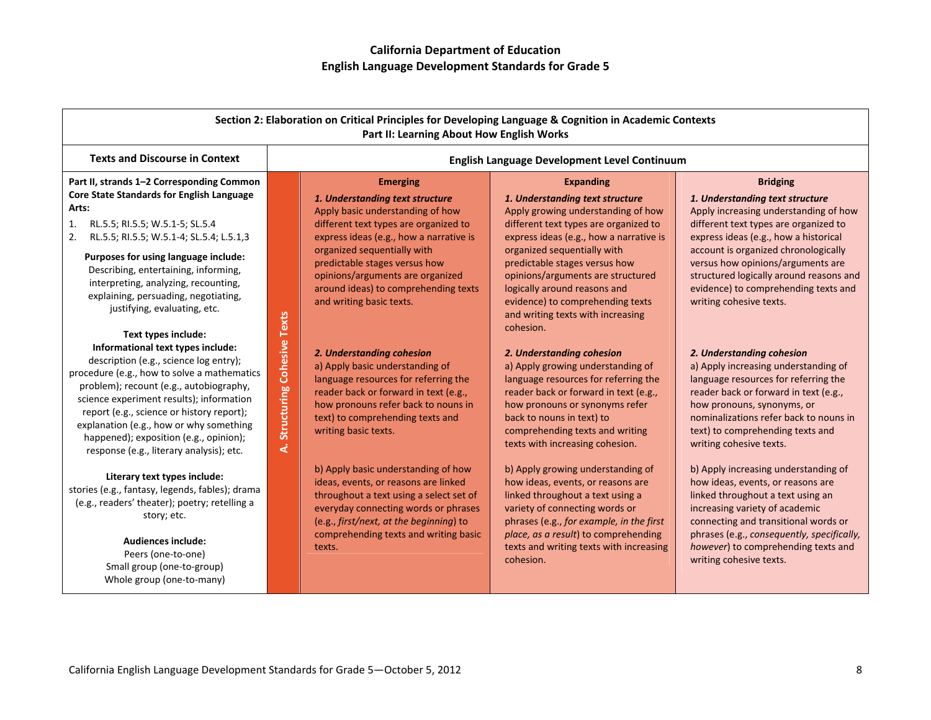| Section 2: Elaboration on Critical Principles for Developing Language & Cognition in Academic Contexts<br>Part II: Learning About How English Works                                                                                                                                                                                                                                                                    |                                                |                                                                                                                                                                                                                                                                                                                                                    |                                                                                                                                                                                                                                                                                                                                                                                                          |                                                                                                                                                                                                                                                                                                                                                                          |
|------------------------------------------------------------------------------------------------------------------------------------------------------------------------------------------------------------------------------------------------------------------------------------------------------------------------------------------------------------------------------------------------------------------------|------------------------------------------------|----------------------------------------------------------------------------------------------------------------------------------------------------------------------------------------------------------------------------------------------------------------------------------------------------------------------------------------------------|----------------------------------------------------------------------------------------------------------------------------------------------------------------------------------------------------------------------------------------------------------------------------------------------------------------------------------------------------------------------------------------------------------|--------------------------------------------------------------------------------------------------------------------------------------------------------------------------------------------------------------------------------------------------------------------------------------------------------------------------------------------------------------------------|
| <b>Texts and Discourse in Context</b>                                                                                                                                                                                                                                                                                                                                                                                  |                                                |                                                                                                                                                                                                                                                                                                                                                    | <b>English Language Development Level Continuum</b>                                                                                                                                                                                                                                                                                                                                                      |                                                                                                                                                                                                                                                                                                                                                                          |
| Part II, strands 1-2 Corresponding Common<br>Core State Standards for English Language<br>Arts:<br>1. RL.5.5; RI.5.5; W.5.1-5; SL.5.4<br>RL.5.5; RI.5.5; W.5.1-4; SL.5.4; L.5.1,3<br>2.<br>Purposes for using language include:<br>Describing, entertaining, informing,<br>interpreting, analyzing, recounting,<br>explaining, persuading, negotiating,<br>justifying, evaluating, etc.                                |                                                | <b>Emerging</b><br>1. Understanding text structure<br>Apply basic understanding of how<br>different text types are organized to<br>express ideas (e.g., how a narrative is<br>organized sequentially with<br>predictable stages versus how<br>opinions/arguments are organized<br>around ideas) to comprehending texts<br>and writing basic texts. | <b>Expanding</b><br>1. Understanding text structure<br>Apply growing understanding of how<br>different text types are organized to<br>express ideas (e.g., how a narrative is<br>organized sequentially with<br>predictable stages versus how<br>opinions/arguments are structured<br>logically around reasons and<br>evidence) to comprehending texts<br>and writing texts with increasing<br>cohesion. | <b>Bridging</b><br>1. Understanding text structure<br>Apply increasing understanding of how<br>different text types are organized to<br>express ideas (e.g., how a historical<br>account is organized chronologically<br>versus how opinions/arguments are<br>structured logically around reasons and<br>evidence) to comprehending texts and<br>writing cohesive texts. |
| Text types include:<br>Informational text types include:<br>description (e.g., science log entry);<br>procedure (e.g., how to solve a mathematics<br>problem); recount (e.g., autobiography,<br>science experiment results); information<br>report (e.g., science or history report);<br>explanation (e.g., how or why something<br>happened); exposition (e.g., opinion);<br>response (e.g., literary analysis); etc. | <b>Structuring Cohesive Texts</b><br>$\vec{a}$ | 2. Understanding cohesion<br>a) Apply basic understanding of<br>language resources for referring the<br>reader back or forward in text (e.g.,<br>how pronouns refer back to nouns in<br>text) to comprehending texts and<br>writing basic texts.                                                                                                   | 2. Understanding cohesion<br>a) Apply growing understanding of<br>language resources for referring the<br>reader back or forward in text (e.g.,<br>how pronouns or synonyms refer<br>back to nouns in text) to<br>comprehending texts and writing<br>texts with increasing cohesion.                                                                                                                     | 2. Understanding cohesion<br>a) Apply increasing understanding of<br>language resources for referring the<br>reader back or forward in text (e.g.,<br>how pronouns, synonyms, or<br>nominalizations refer back to nouns in<br>text) to comprehending texts and<br>writing cohesive texts.                                                                                |
| Literary text types include:<br>stories (e.g., fantasy, legends, fables); drama<br>(e.g., readers' theater); poetry; retelling a<br>story; etc.<br><b>Audiences include:</b><br>Peers (one-to-one)<br>Small group (one-to-group)<br>Whole group (one-to-many)                                                                                                                                                          |                                                | b) Apply basic understanding of how<br>ideas, events, or reasons are linked<br>throughout a text using a select set of<br>everyday connecting words or phrases<br>(e.g., first/next, at the beginning) to<br>comprehending texts and writing basic<br>texts.                                                                                       | b) Apply growing understanding of<br>how ideas, events, or reasons are<br>linked throughout a text using a<br>variety of connecting words or<br>phrases (e.g., for example, in the first<br>place, as a result) to comprehending<br>texts and writing texts with increasing<br>cohesion.                                                                                                                 | b) Apply increasing understanding of<br>how ideas, events, or reasons are<br>linked throughout a text using an<br>increasing variety of academic<br>connecting and transitional words or<br>phrases (e.g., consequently, specifically,<br>however) to comprehending texts and<br>writing cohesive texts.                                                                 |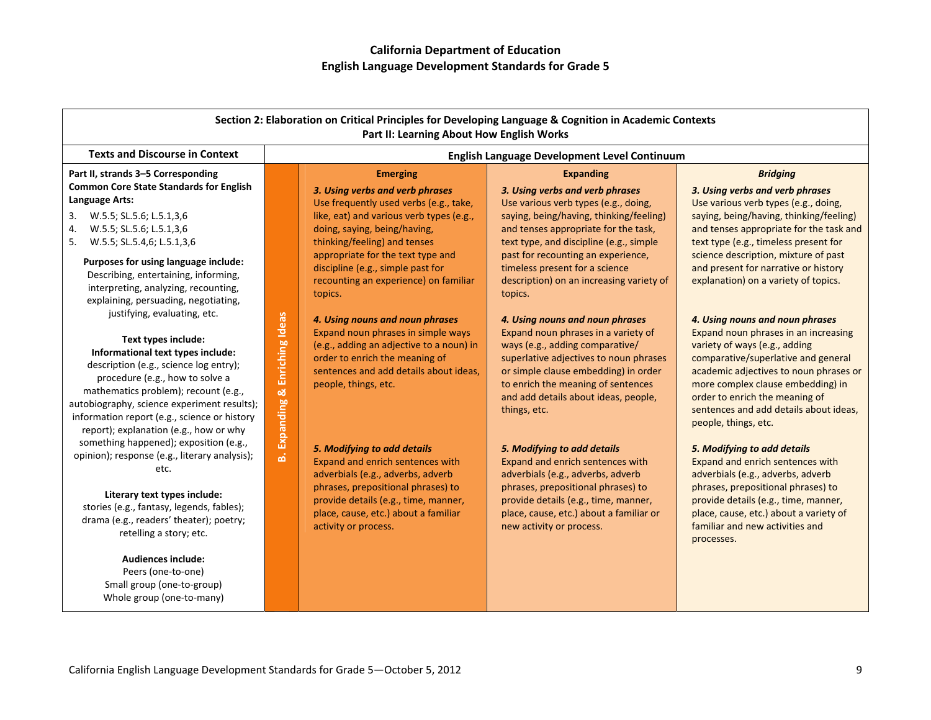| Section 2: Elaboration on Critical Principles for Developing Language & Cognition in Academic Contexts<br>Part II: Learning About How English Works                                                                                                                                                                                                    |                             |                                                                                                                                                                                                                       |                                                                                                                                                                                                                                                                                           |                                                                                                                                                                                                                                                                                                                                    |
|--------------------------------------------------------------------------------------------------------------------------------------------------------------------------------------------------------------------------------------------------------------------------------------------------------------------------------------------------------|-----------------------------|-----------------------------------------------------------------------------------------------------------------------------------------------------------------------------------------------------------------------|-------------------------------------------------------------------------------------------------------------------------------------------------------------------------------------------------------------------------------------------------------------------------------------------|------------------------------------------------------------------------------------------------------------------------------------------------------------------------------------------------------------------------------------------------------------------------------------------------------------------------------------|
| <b>Texts and Discourse in Context</b>                                                                                                                                                                                                                                                                                                                  |                             |                                                                                                                                                                                                                       | English Language Development Level Continuum                                                                                                                                                                                                                                              |                                                                                                                                                                                                                                                                                                                                    |
| Part II, strands 3-5 Corresponding                                                                                                                                                                                                                                                                                                                     |                             | <b>Emerging</b>                                                                                                                                                                                                       | <b>Expanding</b>                                                                                                                                                                                                                                                                          | <b>Bridging</b>                                                                                                                                                                                                                                                                                                                    |
| <b>Common Core State Standards for English</b><br>Language Arts:                                                                                                                                                                                                                                                                                       |                             | 3. Using verbs and verb phrases<br>Use frequently used verbs (e.g., take,                                                                                                                                             | 3. Using verbs and verb phrases<br>Use various verb types (e.g., doing,                                                                                                                                                                                                                   | 3. Using verbs and verb phrases<br>Use various verb types (e.g., doing,                                                                                                                                                                                                                                                            |
| 3.<br>W.5.5; SL.5.6; L.5.1,3,6<br>$\overline{4}$ .<br>W.5.5; SL.5.6; L.5.1,3,6<br>W.5.5; SL.5.4,6; L.5.1,3,6<br>5.                                                                                                                                                                                                                                     |                             | like, eat) and various verb types (e.g.,<br>doing, saying, being/having,<br>thinking/feeling) and tenses                                                                                                              | saying, being/having, thinking/feeling)<br>and tenses appropriate for the task,<br>text type, and discipline (e.g., simple                                                                                                                                                                | saying, being/having, thinking/feeling)<br>and tenses appropriate for the task and<br>text type (e.g., timeless present for                                                                                                                                                                                                        |
| Purposes for using language include:<br>Describing, entertaining, informing,<br>interpreting, analyzing, recounting,<br>explaining, persuading, negotiating,                                                                                                                                                                                           |                             | appropriate for the text type and<br>discipline (e.g., simple past for<br>recounting an experience) on familiar<br>topics.                                                                                            | past for recounting an experience,<br>timeless present for a science<br>description) on an increasing variety of<br>topics.                                                                                                                                                               | science description, mixture of past<br>and present for narrative or history<br>explanation) on a variety of topics.                                                                                                                                                                                                               |
| justifying, evaluating, etc.<br>Text types include:<br>Informational text types include:<br>description (e.g., science log entry);<br>procedure (e.g., how to solve a<br>mathematics problem); recount (e.g.,<br>autobiography, science experiment results);<br>information report (e.g., science or history<br>report); explanation (e.g., how or why | Expanding & Enriching Ideas | 4. Using nouns and noun phrases<br>Expand noun phrases in simple ways<br>(e.g., adding an adjective to a noun) in<br>order to enrich the meaning of<br>sentences and add details about ideas,<br>people, things, etc. | 4. Using nouns and noun phrases<br>Expand noun phrases in a variety of<br>ways (e.g., adding comparative/<br>superlative adjectives to noun phrases<br>or simple clause embedding) in order<br>to enrich the meaning of sentences<br>and add details about ideas, people,<br>things, etc. | 4. Using nouns and noun phrases<br>Expand noun phrases in an increasing<br>variety of ways (e.g., adding<br>comparative/superlative and general<br>academic adjectives to noun phrases or<br>more complex clause embedding) in<br>order to enrich the meaning of<br>sentences and add details about ideas,<br>people, things, etc. |
| something happened); exposition (e.g.,<br>opinion); response (e.g., literary analysis);<br>etc.                                                                                                                                                                                                                                                        | أهه                         | 5. Modifying to add details<br>Expand and enrich sentences with<br>adverbials (e.g., adverbs, adverb                                                                                                                  | 5. Modifying to add details<br>Expand and enrich sentences with<br>adverbials (e.g., adverbs, adverb                                                                                                                                                                                      | 5. Modifying to add details<br>Expand and enrich sentences with<br>adverbials (e.g., adverbs, adverb                                                                                                                                                                                                                               |
| Literary text types include:<br>stories (e.g., fantasy, legends, fables);<br>drama (e.g., readers' theater); poetry;<br>retelling a story; etc.                                                                                                                                                                                                        |                             | phrases, prepositional phrases) to<br>provide details (e.g., time, manner,<br>place, cause, etc.) about a familiar<br>activity or process.                                                                            | phrases, prepositional phrases) to<br>provide details (e.g., time, manner,<br>place, cause, etc.) about a familiar or<br>new activity or process.                                                                                                                                         | phrases, prepositional phrases) to<br>provide details (e.g., time, manner,<br>place, cause, etc.) about a variety of<br>familiar and new activities and<br>processes.                                                                                                                                                              |
| <b>Audiences include:</b><br>Peers (one-to-one)<br>Small group (one-to-group)<br>Whole group (one-to-many)                                                                                                                                                                                                                                             |                             |                                                                                                                                                                                                                       |                                                                                                                                                                                                                                                                                           |                                                                                                                                                                                                                                                                                                                                    |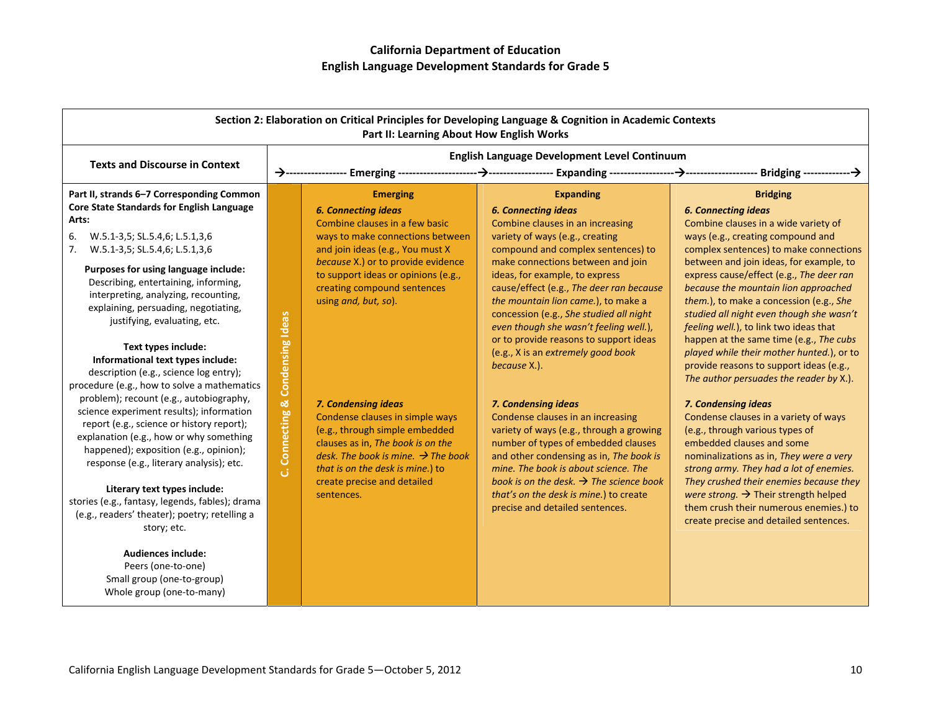| Section 2: Elaboration on Critical Principles for Developing Language & Cognition in Academic Contexts                                                                                                                                                            |                                              |                                                                                                                                  |                                                                                                                                                                                                                                             |                                                                                                                                                                                                                                                              |                                                                                                                                                                                                                                |                                                                                                                                                                                                                    |
|-------------------------------------------------------------------------------------------------------------------------------------------------------------------------------------------------------------------------------------------------------------------|----------------------------------------------|----------------------------------------------------------------------------------------------------------------------------------|---------------------------------------------------------------------------------------------------------------------------------------------------------------------------------------------------------------------------------------------|--------------------------------------------------------------------------------------------------------------------------------------------------------------------------------------------------------------------------------------------------------------|--------------------------------------------------------------------------------------------------------------------------------------------------------------------------------------------------------------------------------|--------------------------------------------------------------------------------------------------------------------------------------------------------------------------------------------------------------------|
|                                                                                                                                                                                                                                                                   | Part II: Learning About How English Works    |                                                                                                                                  |                                                                                                                                                                                                                                             |                                                                                                                                                                                                                                                              |                                                                                                                                                                                                                                |                                                                                                                                                                                                                    |
| <b>Texts and Discourse in Context</b>                                                                                                                                                                                                                             | English Language Development Level Continuum |                                                                                                                                  |                                                                                                                                                                                                                                             |                                                                                                                                                                                                                                                              |                                                                                                                                                                                                                                |                                                                                                                                                                                                                    |
|                                                                                                                                                                                                                                                                   |                                              |                                                                                                                                  |                                                                                                                                                                                                                                             |                                                                                                                                                                                                                                                              |                                                                                                                                                                                                                                |                                                                                                                                                                                                                    |
| Part II, strands 6-7 Corresponding Common                                                                                                                                                                                                                         |                                              | <b>Emerging</b>                                                                                                                  | <b>Expanding</b>                                                                                                                                                                                                                            | <b>Bridging</b>                                                                                                                                                                                                                                              |                                                                                                                                                                                                                                |                                                                                                                                                                                                                    |
| Core State Standards for English Language                                                                                                                                                                                                                         |                                              | <b>6. Connecting ideas</b>                                                                                                       | <b>6. Connecting ideas</b>                                                                                                                                                                                                                  | <b>6. Connecting ideas</b>                                                                                                                                                                                                                                   |                                                                                                                                                                                                                                |                                                                                                                                                                                                                    |
| Arts:                                                                                                                                                                                                                                                             |                                              | Combine clauses in a few basic                                                                                                   | Combine clauses in an increasing                                                                                                                                                                                                            | Combine clauses in a wide variety of                                                                                                                                                                                                                         |                                                                                                                                                                                                                                |                                                                                                                                                                                                                    |
| 6.<br>W.5.1-3,5; SL.5.4,6; L.5.1,3,6                                                                                                                                                                                                                              |                                              | ways to make connections between                                                                                                 | variety of ways (e.g., creating                                                                                                                                                                                                             | ways (e.g., creating compound and                                                                                                                                                                                                                            |                                                                                                                                                                                                                                |                                                                                                                                                                                                                    |
| 7.<br>W.5.1-3,5; SL.5.4,6; L.5.1,3,6                                                                                                                                                                                                                              |                                              | and join ideas (e.g., You must X                                                                                                 | compound and complex sentences) to                                                                                                                                                                                                          | complex sentences) to make connections                                                                                                                                                                                                                       |                                                                                                                                                                                                                                |                                                                                                                                                                                                                    |
| Purposes for using language include:<br>Describing, entertaining, informing,<br>interpreting, analyzing, recounting,<br>explaining, persuading, negotiating,<br>justifying, evaluating, etc.                                                                      |                                              | because X.) or to provide evidence<br>to support ideas or opinions (e.g.,<br>creating compound sentences<br>using and, but, so). | make connections between and join<br>ideas, for example, to express<br>cause/effect (e.g., The deer ran because<br>the mountain lion came.), to make a<br>concession (e.g., She studied all night<br>even though she wasn't feeling well.), | between and join ideas, for example, to<br>express cause/effect (e.g., The deer ran<br>because the mountain lion approached<br>them.), to make a concession (e.g., She<br>studied all night even though she wasn't<br>feeling well.), to link two ideas that |                                                                                                                                                                                                                                |                                                                                                                                                                                                                    |
| Text types include:<br>Informational text types include:<br>description (e.g., science log entry);<br>procedure (e.g., how to solve a mathematics                                                                                                                 | Condensing Ideas<br>C. Connecting &          |                                                                                                                                  | or to provide reasons to support ideas<br>(e.g., X is an extremely good book<br>because X.).                                                                                                                                                | happen at the same time (e.g., The cubs<br>played while their mother hunted.), or to<br>provide reasons to support ideas (e.g.,<br>The author persuades the reader by X.).                                                                                   |                                                                                                                                                                                                                                |                                                                                                                                                                                                                    |
| problem); recount (e.g., autobiography,<br>science experiment results); information<br>report (e.g., science or history report);<br>explanation (e.g., how or why something<br>happened); exposition (e.g., opinion);<br>response (e.g., literary analysis); etc. |                                              |                                                                                                                                  |                                                                                                                                                                                                                                             | 7. Condensing ideas<br>Condense clauses in simple ways<br>(e.g., through simple embedded<br>clauses as in, The book is on the<br>desk. The book is mine. $\rightarrow$ The book<br>that is on the desk is mine.) to                                          | 7. Condensing ideas<br>Condense clauses in an increasing<br>variety of ways (e.g., through a growing<br>number of types of embedded clauses<br>and other condensing as in, The book is<br>mine. The book is about science. The | 7. Condensing ideas<br>Condense clauses in a variety of ways<br>(e.g., through various types of<br>embedded clauses and some<br>nominalizations as in, They were a very<br>strong army. They had a lot of enemies. |
| Literary text types include:<br>stories (e.g., fantasy, legends, fables); drama<br>(e.g., readers' theater); poetry; retelling a<br>story; etc.                                                                                                                   |                                              | create precise and detailed<br>sentences.                                                                                        | book is on the desk. $\rightarrow$ The science book<br>that's on the desk is mine.) to create<br>precise and detailed sentences.                                                                                                            | They crushed their enemies because they<br>were strong. $\rightarrow$ Their strength helped<br>them crush their numerous enemies.) to<br>create precise and detailed sentences.                                                                              |                                                                                                                                                                                                                                |                                                                                                                                                                                                                    |
| <b>Audiences include:</b><br>Peers (one-to-one)<br>Small group (one-to-group)<br>Whole group (one-to-many)                                                                                                                                                        |                                              |                                                                                                                                  |                                                                                                                                                                                                                                             |                                                                                                                                                                                                                                                              |                                                                                                                                                                                                                                |                                                                                                                                                                                                                    |